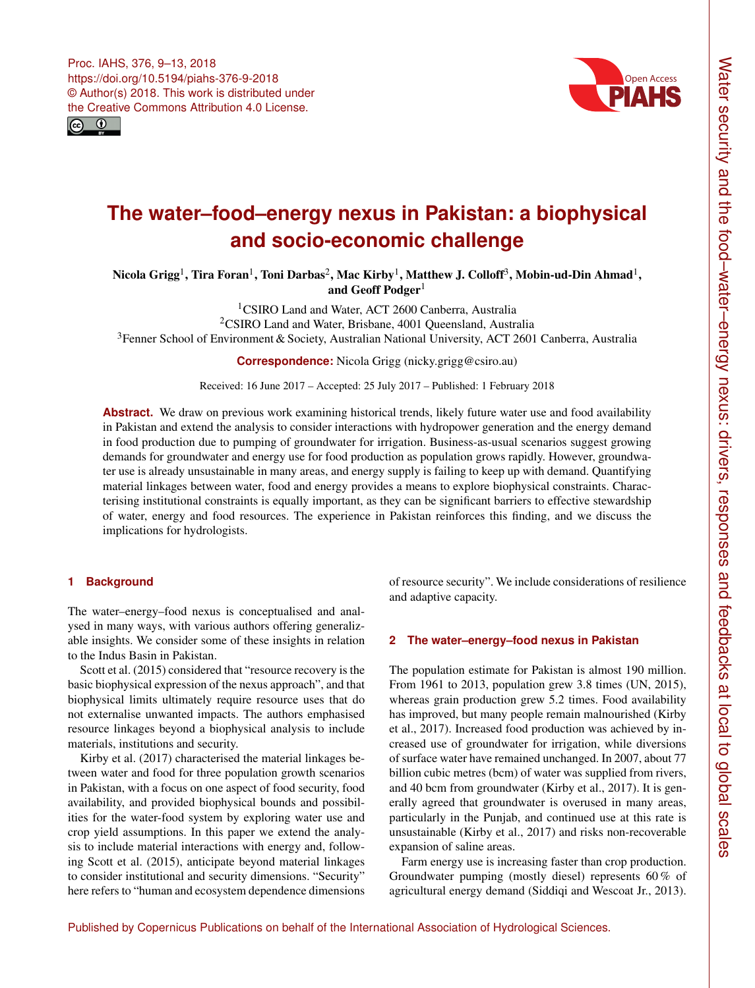<span id="page-0-1"></span>



# **The water–food–energy nexus in Pakistan: a biophysical and socio-economic challenge**

Nicola Grigg $^1$  $^1$ , Tira Foran $^1$ , Toni Darbas $^2$  $^2$ , Mac Kirby $^1$ , Matthew J. Colloff $^3$  $^3$ , Mobin-ud-Din Ahmad $^1$ , and Geoff Podger<sup>[1](#page-0-0)</sup>

<sup>1</sup>CSIRO Land and Water, ACT 2600 Canberra, Australia <sup>2</sup>CSIRO Land and Water, Brisbane, 4001 Queensland, Australia <sup>3</sup>Fenner School of Environment & Society, Australian National University, ACT 2601 Canberra, Australia

**Correspondence:** Nicola Grigg (nicky.grigg@csiro.au)

Received: 16 June 2017 – Accepted: 25 July 2017 – Published: 1 February 2018

**Abstract.** We draw on previous work examining historical trends, likely future water use and food availability in Pakistan and extend the analysis to consider interactions with hydropower generation and the energy demand in food production due to pumping of groundwater for irrigation. Business-as-usual scenarios suggest growing demands for groundwater and energy use for food production as population grows rapidly. However, groundwater use is already unsustainable in many areas, and energy supply is failing to keep up with demand. Quantifying material linkages between water, food and energy provides a means to explore biophysical constraints. Characterising institutional constraints is equally important, as they can be significant barriers to effective stewardship of water, energy and food resources. The experience in Pakistan reinforces this finding, and we discuss the implications for hydrologists.

## <span id="page-0-0"></span>**1 Background**

The water–energy–food nexus is conceptualised and analysed in many ways, with various authors offering generalizable insights. We consider some of these insights in relation to the Indus Basin in Pakistan.

Scott et al.  $(2015)$  considered that "resource recovery is the basic biophysical expression of the nexus approach", and that biophysical limits ultimately require resource uses that do not externalise unwanted impacts. The authors emphasised resource linkages beyond a biophysical analysis to include materials, institutions and security.

Kirby et al. (2017) characterised the material linkages between water and food for three population growth scenarios in Pakistan, with a focus on one aspect of food security, food availability, and provided biophysical bounds and possibilities for the water-food system by exploring water use and crop yield assumptions. In this paper we extend the analysis to include material interactions with energy and, following Scott et al. (2015), anticipate beyond material linkages to consider institutional and security dimensions. "Security" here refers to "human and ecosystem dependence dimensions

of resource security". We include considerations of resilience and adaptive capacity.

## **2 The water–energy–food nexus in Pakistan**

The population estimate for Pakistan is almost 190 million. From 1961 to 2013, population grew 3.8 times (UN, 2015), whereas grain production grew 5.2 times. Food availability has improved, but many people remain malnourished (Kirby et al., 2017). Increased food production was achieved by increased use of groundwater for irrigation, while diversions of surface water have remained unchanged. In 2007, about 77 billion cubic metres (bcm) of water was supplied from rivers, and 40 bcm from groundwater (Kirby et al., 2017). It is generally agreed that groundwater is overused in many areas, particularly in the Punjab, and continued use at this rate is unsustainable (Kirby et al., 2017) and risks non-recoverable expansion of saline areas.

Farm energy use is increasing faster than crop production. Groundwater pumping (mostly diesel) represents 60 % of agricultural energy demand (Siddiqi and Wescoat Jr., 2013).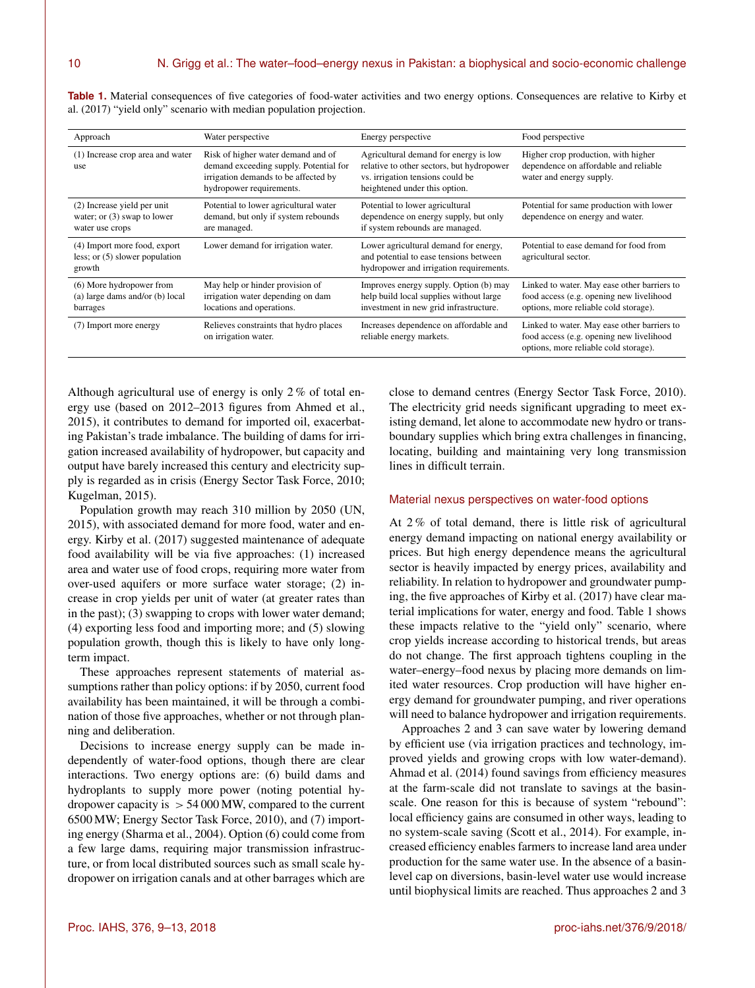| Approach                                                                        | Water perspective                                                                                                                                | Energy perspective                                                                                                                                      | Food perspective                                                                                                                 |
|---------------------------------------------------------------------------------|--------------------------------------------------------------------------------------------------------------------------------------------------|---------------------------------------------------------------------------------------------------------------------------------------------------------|----------------------------------------------------------------------------------------------------------------------------------|
| (1) Increase crop area and water<br>use                                         | Risk of higher water demand and of<br>demand exceeding supply. Potential for<br>irrigation demands to be affected by<br>hydropower requirements. | Agricultural demand for energy is low<br>relative to other sectors, but hydropower<br>vs. irrigation tensions could be<br>heightened under this option. | Higher crop production, with higher<br>dependence on affordable and reliable<br>water and energy supply.                         |
| (2) Increase yield per unit<br>water; or $(3)$ swap to lower<br>water use crops | Potential to lower agricultural water<br>demand, but only if system rebounds<br>are managed.                                                     | Potential to lower agricultural<br>dependence on energy supply, but only<br>if system rebounds are managed.                                             | Potential for same production with lower<br>dependence on energy and water.                                                      |
| (4) Import more food, export<br>less; or $(5)$ slower population<br>growth      | Lower demand for irrigation water.                                                                                                               | Lower agricultural demand for energy,<br>and potential to ease tensions between<br>hydropower and irrigation requirements.                              | Potential to ease demand for food from<br>agricultural sector.                                                                   |
| (6) More hydropower from<br>(a) large dams and/or (b) local<br>barrages         | May help or hinder provision of<br>irrigation water depending on dam<br>locations and operations.                                                | Improves energy supply. Option (b) may<br>help build local supplies without large<br>investment in new grid infrastructure.                             | Linked to water. May ease other barriers to<br>food access (e.g. opening new livelihood<br>options, more reliable cold storage). |
| (7) Import more energy                                                          | Relieves constraints that hydro places<br>on irrigation water.                                                                                   | Increases dependence on affordable and<br>reliable energy markets.                                                                                      | Linked to water. May ease other barriers to<br>food access (e.g. opening new livelihood<br>options, more reliable cold storage). |

**Table 1.** Material consequences of five categories of food-water activities and two energy options. Consequences are relative to Kirby et al. (2017) "yield only" scenario with median population projection.

Although agricultural use of energy is only 2 % of total energy use (based on 2012–2013 figures from Ahmed et al., 2015), it contributes to demand for imported oil, exacerbating Pakistan's trade imbalance. The building of dams for irrigation increased availability of hydropower, but capacity and output have barely increased this century and electricity supply is regarded as in crisis (Energy Sector Task Force, 2010; Kugelman, 2015).

Population growth may reach 310 million by 2050 (UN, 2015), with associated demand for more food, water and energy. Kirby et al. (2017) suggested maintenance of adequate food availability will be via five approaches: (1) increased area and water use of food crops, requiring more water from over-used aquifers or more surface water storage; (2) increase in crop yields per unit of water (at greater rates than in the past); (3) swapping to crops with lower water demand; (4) exporting less food and importing more; and (5) slowing population growth, though this is likely to have only longterm impact.

These approaches represent statements of material assumptions rather than policy options: if by 2050, current food availability has been maintained, it will be through a combination of those five approaches, whether or not through planning and deliberation.

Decisions to increase energy supply can be made independently of water-food options, though there are clear interactions. Two energy options are: (6) build dams and hydroplants to supply more power (noting potential hydropower capacity is  $> 54000$  MW, compared to the current 6500 MW; Energy Sector Task Force, 2010), and (7) importing energy (Sharma et al., 2004). Option (6) could come from a few large dams, requiring major transmission infrastructure, or from local distributed sources such as small scale hydropower on irrigation canals and at other barrages which are

close to demand centres (Energy Sector Task Force, 2010). The electricity grid needs significant upgrading to meet existing demand, let alone to accommodate new hydro or transboundary supplies which bring extra challenges in financing, locating, building and maintaining very long transmission lines in difficult terrain.

#### Material nexus perspectives on water-food options

At 2 % of total demand, there is little risk of agricultural energy demand impacting on national energy availability or prices. But high energy dependence means the agricultural sector is heavily impacted by energy prices, availability and reliability. In relation to hydropower and groundwater pumping, the five approaches of Kirby et al. (2017) have clear material implications for water, energy and food. Table 1 shows these impacts relative to the "yield only" scenario, where crop yields increase according to historical trends, but areas do not change. The first approach tightens coupling in the water–energy–food nexus by placing more demands on limited water resources. Crop production will have higher energy demand for groundwater pumping, and river operations will need to balance hydropower and irrigation requirements.

Approaches 2 and 3 can save water by lowering demand by efficient use (via irrigation practices and technology, improved yields and growing crops with low water-demand). Ahmad et al. (2014) found savings from efficiency measures at the farm-scale did not translate to savings at the basinscale. One reason for this is because of system "rebound": local efficiency gains are consumed in other ways, leading to no system-scale saving (Scott et al., 2014). For example, increased efficiency enables farmers to increase land area under production for the same water use. In the absence of a basinlevel cap on diversions, basin-level water use would increase until biophysical limits are reached. Thus approaches 2 and 3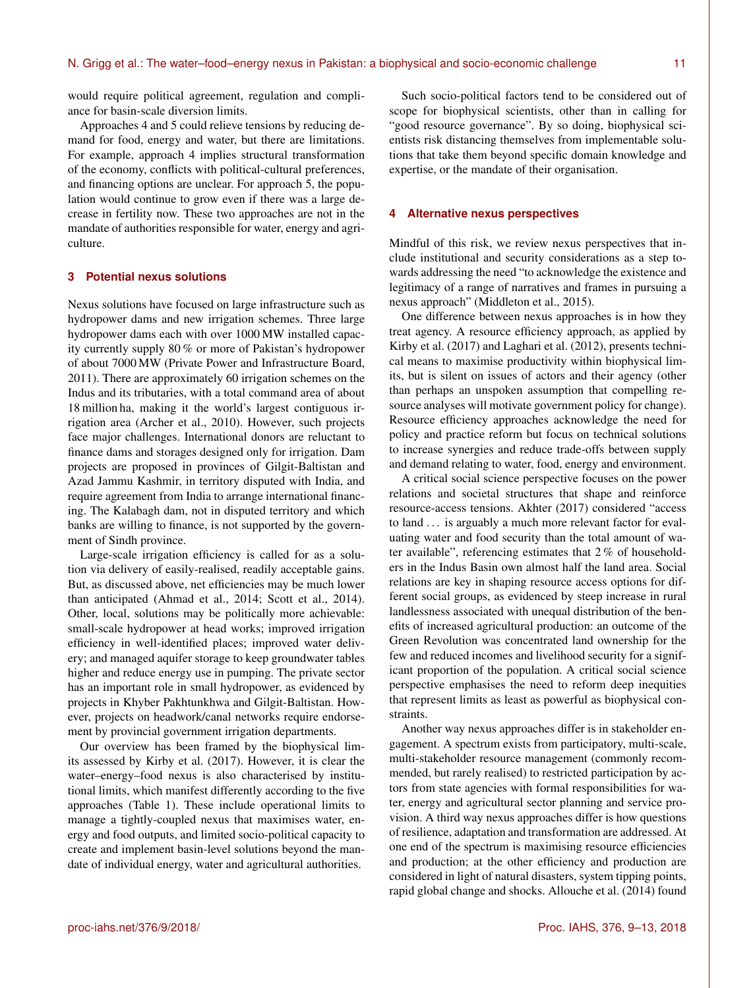would require political agreement, regulation and compliance for basin-scale diversion limits.

Approaches 4 and 5 could relieve tensions by reducing demand for food, energy and water, but there are limitations. For example, approach 4 implies structural transformation of the economy, conflicts with political-cultural preferences, and financing options are unclear. For approach 5, the population would continue to grow even if there was a large decrease in fertility now. These two approaches are not in the mandate of authorities responsible for water, energy and agriculture.

### **3 Potential nexus solutions**

Nexus solutions have focused on large infrastructure such as hydropower dams and new irrigation schemes. Three large hydropower dams each with over 1000 MW installed capacity currently supply 80 % or more of Pakistan's hydropower of about 7000 MW (Private Power and Infrastructure Board, 2011). There are approximately 60 irrigation schemes on the Indus and its tributaries, with a total command area of about 18 million ha, making it the world's largest contiguous irrigation area (Archer et al., 2010). However, such projects face major challenges. International donors are reluctant to finance dams and storages designed only for irrigation. Dam projects are proposed in provinces of Gilgit-Baltistan and Azad Jammu Kashmir, in territory disputed with India, and require agreement from India to arrange international financing. The Kalabagh dam, not in disputed territory and which banks are willing to finance, is not supported by the government of Sindh province.

Large-scale irrigation efficiency is called for as a solution via delivery of easily-realised, readily acceptable gains. But, as discussed above, net efficiencies may be much lower than anticipated (Ahmad et al., 2014; Scott et al., 2014). Other, local, solutions may be politically more achievable: small-scale hydropower at head works; improved irrigation efficiency in well-identified places; improved water delivery; and managed aquifer storage to keep groundwater tables higher and reduce energy use in pumping. The private sector has an important role in small hydropower, as evidenced by projects in Khyber Pakhtunkhwa and Gilgit-Baltistan. However, projects on headwork/canal networks require endorsement by provincial government irrigation departments.

Our overview has been framed by the biophysical limits assessed by Kirby et al. (2017). However, it is clear the water–energy–food nexus is also characterised by institutional limits, which manifest differently according to the five approaches (Table 1). These include operational limits to manage a tightly-coupled nexus that maximises water, energy and food outputs, and limited socio-political capacity to create and implement basin-level solutions beyond the mandate of individual energy, water and agricultural authorities.

Such socio-political factors tend to be considered out of scope for biophysical scientists, other than in calling for "good resource governance". By so doing, biophysical scientists risk distancing themselves from implementable solutions that take them beyond specific domain knowledge and expertise, or the mandate of their organisation.

#### **4 Alternative nexus perspectives**

Mindful of this risk, we review nexus perspectives that include institutional and security considerations as a step towards addressing the need "to acknowledge the existence and legitimacy of a range of narratives and frames in pursuing a nexus approach" (Middleton et al., 2015).

One difference between nexus approaches is in how they treat agency. A resource efficiency approach, as applied by Kirby et al. (2017) and Laghari et al. (2012), presents technical means to maximise productivity within biophysical limits, but is silent on issues of actors and their agency (other than perhaps an unspoken assumption that compelling resource analyses will motivate government policy for change). Resource efficiency approaches acknowledge the need for policy and practice reform but focus on technical solutions to increase synergies and reduce trade-offs between supply and demand relating to water, food, energy and environment.

A critical social science perspective focuses on the power relations and societal structures that shape and reinforce resource-access tensions. Akhter (2017) considered "access to land ... is arguably a much more relevant factor for evaluating water and food security than the total amount of water available", referencing estimates that 2 % of householders in the Indus Basin own almost half the land area. Social relations are key in shaping resource access options for different social groups, as evidenced by steep increase in rural landlessness associated with unequal distribution of the benefits of increased agricultural production: an outcome of the Green Revolution was concentrated land ownership for the few and reduced incomes and livelihood security for a significant proportion of the population. A critical social science perspective emphasises the need to reform deep inequities that represent limits as least as powerful as biophysical constraints.

Another way nexus approaches differ is in stakeholder engagement. A spectrum exists from participatory, multi-scale, multi-stakeholder resource management (commonly recommended, but rarely realised) to restricted participation by actors from state agencies with formal responsibilities for water, energy and agricultural sector planning and service provision. A third way nexus approaches differ is how questions of resilience, adaptation and transformation are addressed. At one end of the spectrum is maximising resource efficiencies and production; at the other efficiency and production are considered in light of natural disasters, system tipping points, rapid global change and shocks. Allouche et al. (2014) found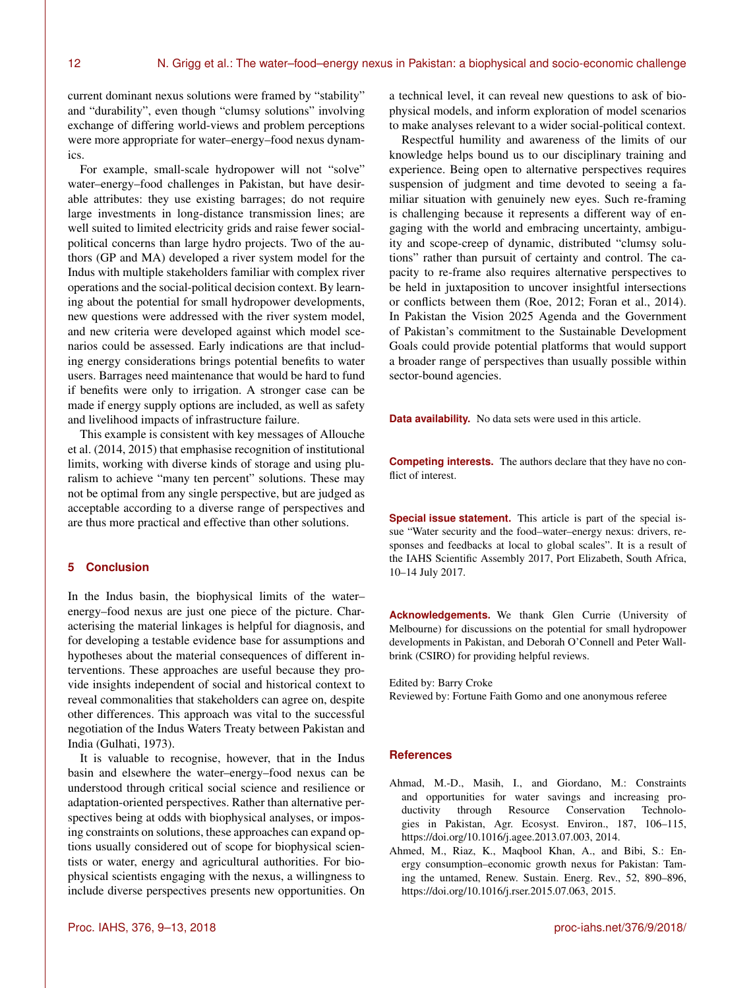current dominant nexus solutions were framed by "stability" and "durability", even though "clumsy solutions" involving exchange of differing world-views and problem perceptions were more appropriate for water–energy–food nexus dynamics.

For example, small-scale hydropower will not "solve" water–energy–food challenges in Pakistan, but have desirable attributes: they use existing barrages; do not require large investments in long-distance transmission lines; are well suited to limited electricity grids and raise fewer socialpolitical concerns than large hydro projects. Two of the authors (GP and MA) developed a river system model for the Indus with multiple stakeholders familiar with complex river operations and the social-political decision context. By learning about the potential for small hydropower developments, new questions were addressed with the river system model, and new criteria were developed against which model scenarios could be assessed. Early indications are that including energy considerations brings potential benefits to water users. Barrages need maintenance that would be hard to fund if benefits were only to irrigation. A stronger case can be made if energy supply options are included, as well as safety and livelihood impacts of infrastructure failure.

This example is consistent with key messages of Allouche et al. (2014, 2015) that emphasise recognition of institutional limits, working with diverse kinds of storage and using pluralism to achieve "many ten percent" solutions. These may not be optimal from any single perspective, but are judged as acceptable according to a diverse range of perspectives and are thus more practical and effective than other solutions.

## **5 Conclusion**

In the Indus basin, the biophysical limits of the water– energy–food nexus are just one piece of the picture. Characterising the material linkages is helpful for diagnosis, and for developing a testable evidence base for assumptions and hypotheses about the material consequences of different interventions. These approaches are useful because they provide insights independent of social and historical context to reveal commonalities that stakeholders can agree on, despite other differences. This approach was vital to the successful negotiation of the Indus Waters Treaty between Pakistan and India (Gulhati, 1973).

It is valuable to recognise, however, that in the Indus basin and elsewhere the water–energy–food nexus can be understood through critical social science and resilience or adaptation-oriented perspectives. Rather than alternative perspectives being at odds with biophysical analyses, or imposing constraints on solutions, these approaches can expand options usually considered out of scope for biophysical scientists or water, energy and agricultural authorities. For biophysical scientists engaging with the nexus, a willingness to include diverse perspectives presents new opportunities. On

a technical level, it can reveal new questions to ask of biophysical models, and inform exploration of model scenarios to make analyses relevant to a wider social-political context.

Respectful humility and awareness of the limits of our knowledge helps bound us to our disciplinary training and experience. Being open to alternative perspectives requires suspension of judgment and time devoted to seeing a familiar situation with genuinely new eyes. Such re-framing is challenging because it represents a different way of engaging with the world and embracing uncertainty, ambiguity and scope-creep of dynamic, distributed "clumsy solutions" rather than pursuit of certainty and control. The capacity to re-frame also requires alternative perspectives to be held in juxtaposition to uncover insightful intersections or conflicts between them (Roe, 2012; Foran et al., 2014). In Pakistan the Vision 2025 Agenda and the Government of Pakistan's commitment to the Sustainable Development Goals could provide potential platforms that would support a broader range of perspectives than usually possible within sector-bound agencies.

**Data availability.** No data sets were used in this article.

**Competing interests.** The authors declare that they have no conflict of interest.

**Special issue statement.** This article is part of the special issue "Water security and the food–water–energy nexus: drivers, responses and feedbacks at local to global scales". It is a result of the IAHS Scientific Assembly 2017, Port Elizabeth, South Africa, 10–14 July 2017.

**Acknowledgements.** We thank Glen Currie (University of Melbourne) for discussions on the potential for small hydropower developments in Pakistan, and Deborah O'Connell and Peter Wallbrink (CSIRO) for providing helpful reviews.

Edited by: Barry Croke

Reviewed by: Fortune Faith Gomo and one anonymous referee

#### **References**

- Ahmad, M.-D., Masih, I., and Giordano, M.: Constraints and opportunities for water savings and increasing productivity through Resource Conservation Technologies in Pakistan, Agr. Ecosyst. Environ., 187, 106–115, https://doi.org[/10.1016/j.agee.2013.07.003,](https://doi.org/10.1016/j.agee.2013.07.003) 2014.
- Ahmed, M., Riaz, K., Maqbool Khan, A., and Bibi, S.: Energy consumption–economic growth nexus for Pakistan: Taming the untamed, Renew. Sustain. Energ. Rev., 52, 890–896, https://doi.org[/10.1016/j.rser.2015.07.063,](https://doi.org/10.1016/j.rser.2015.07.063) 2015.